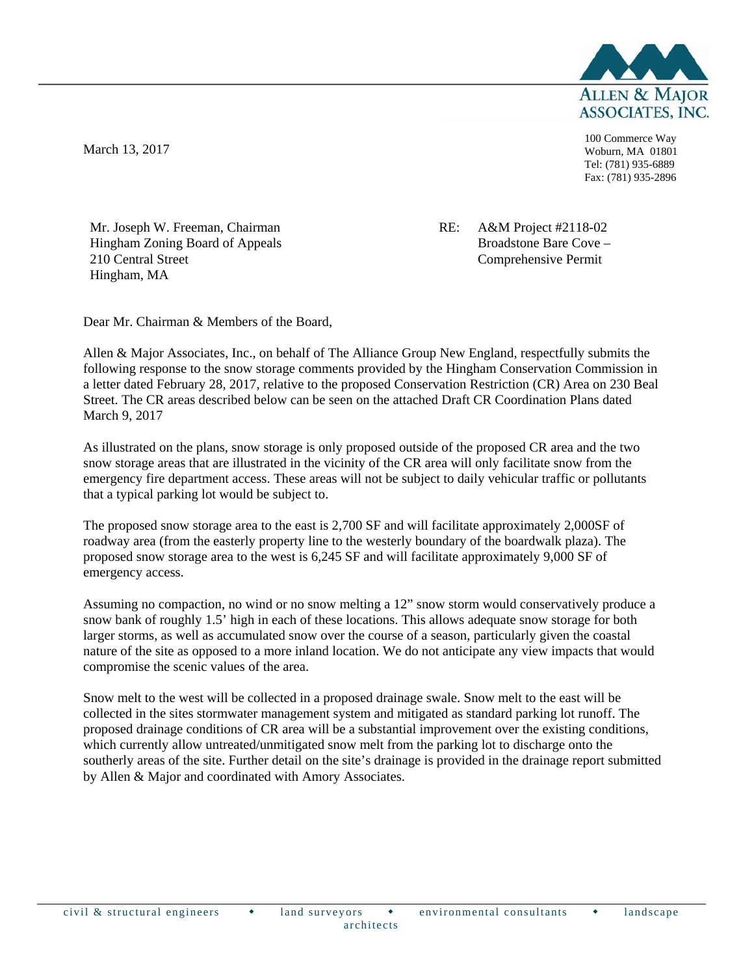

March 13, 2017

100 Commerce Way Woburn, MA 01801 Tel: (781) 935-6889 Fax: (781) 935-2896

Mr. Joseph W. Freeman, Chairman Hingham Zoning Board of Appeals 210 Central Street Hingham, MA

RE: A&M Project #2118-02 Broadstone Bare Cove – Comprehensive Permit

Dear Mr. Chairman & Members of the Board,

Allen & Major Associates, Inc., on behalf of The Alliance Group New England, respectfully submits the following response to the snow storage comments provided by the Hingham Conservation Commission in a letter dated February 28, 2017, relative to the proposed Conservation Restriction (CR) Area on 230 Beal Street. The CR areas described below can be seen on the attached Draft CR Coordination Plans dated March 9, 2017

As illustrated on the plans, snow storage is only proposed outside of the proposed CR area and the two snow storage areas that are illustrated in the vicinity of the CR area will only facilitate snow from the emergency fire department access. These areas will not be subject to daily vehicular traffic or pollutants that a typical parking lot would be subject to.

The proposed snow storage area to the east is 2,700 SF and will facilitate approximately 2,000SF of roadway area (from the easterly property line to the westerly boundary of the boardwalk plaza). The proposed snow storage area to the west is 6,245 SF and will facilitate approximately 9,000 SF of emergency access.

Assuming no compaction, no wind or no snow melting a 12" snow storm would conservatively produce a snow bank of roughly 1.5' high in each of these locations. This allows adequate snow storage for both larger storms, as well as accumulated snow over the course of a season, particularly given the coastal nature of the site as opposed to a more inland location. We do not anticipate any view impacts that would compromise the scenic values of the area.

Snow melt to the west will be collected in a proposed drainage swale. Snow melt to the east will be collected in the sites stormwater management system and mitigated as standard parking lot runoff. The proposed drainage conditions of CR area will be a substantial improvement over the existing conditions, which currently allow untreated/unmitigated snow melt from the parking lot to discharge onto the southerly areas of the site. Further detail on the site's drainage is provided in the drainage report submitted by Allen & Major and coordinated with Amory Associates.